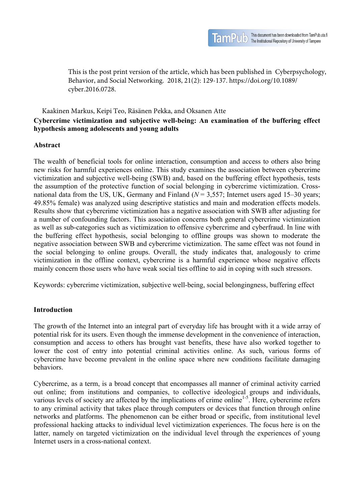This is the post print version of the article, which has been published in Cyberpsychology, Behavior, and Social Networking. 2018, 21(2): 129-137. https://doi.org/10.1089/ cyber.2016.0728.

## **Cybercrime victimization and subjective well-being: An examination of the buffering effect hypothesis among adolescents and young adults**  Kaakinen Markus, Keipi Teo, Räsänen Pekka, and Oksanen Atte

## **Abstract**

The wealth of beneficial tools for online interaction, consumption and access to others also bring new risks for harmful experiences online. This study examines the association between cybercrime victimization and subjective well-being (SWB) and, based on the buffering effect hypothesis, tests the assumption of the protective function of social belonging in cybercrime victimization. Crossnational data from the US, UK, Germany and Finland  $(N = 3,557)$ ; Internet users aged 15–30 years; 49.85% female) was analyzed using descriptive statistics and main and moderation effects models. Results show that cybercrime victimization has a negative association with SWB after adjusting for a number of confounding factors. This association concerns both general cybercrime victimization as well as sub-categories such as victimization to offensive cybercrime and cyberfraud. In line with the buffering effect hypothesis, social belonging to offline groups was shown to moderate the negative association between SWB and cybercrime victimization. The same effect was not found in the social belonging to online groups. Overall, the study indicates that, analogously to crime victimization in the offline context, cybercrime is a harmful experience whose negative effects mainly concern those users who have weak social ties offline to aid in coping with such stressors.

Keywords: cybercrime victimization, subjective well-being, social belongingness, buffering effect

#### **Introduction**

The growth of the Internet into an integral part of everyday life has brought with it a wide array of potential risk for its users. Even though the immense development in the convenience of interaction, consumption and access to others has brought vast benefits, these have also worked together to lower the cost of entry into potential criminal activities online. As such, various forms of cybercrime have become prevalent in the online space where new conditions facilitate damaging behaviors.

Cybercrime, as a term, is a broad concept that encompasses all manner of criminal activity carried out online; from institutions and companies, to collective ideological groups and individuals, various levels of society are affected by the implications of crime online<sup>1-5</sup>. Here, cybercrime refers to any criminal activity that takes place through computers or devices that function through online networks and platforms. The phenomenon can be either broad or specific, from institutional level professional hacking attacks to individual level victimization experiences. The focus here is on the latter, namely on targeted victimization on the individual level through the experiences of young Internet users in a cross-national context.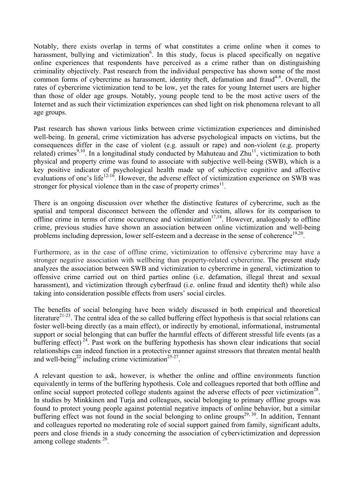Notably, there exists overlap in terms of what constitutes a crime online when it comes to harassment, bullying and victimization<sup>6</sup>. In this study, focus is placed specifically on negative online experiences that respondents have perceived as a crime rather than on distinguishing criminality objectively. Past research from the individual perspective has shown some of the most common forms of cybercrime as harassment, identity theft, defamation and fraud<sup>4-8</sup>. Overall, the rates of cybercrime victimization tend to be low, yet the rates for young Internet users are higher than those of older age groups. Notably, young people tend to be the most active users of the Internet and as such their victimization experiences can shed light on risk phenomena relevant to all age groups.

Past research has shown various links between crime victimization experiences and diminished well-being. In general, crime victimization has adverse psychological impacts on victims, but the consequences differ in the case of violent (e.g. assault or rape) and non-violent (e.g. property related) crimes<sup>9,10</sup>. In a longitudinal study conducted by Mahuteau and  $Zhu^{11}$ , victimization to both physical and property crime was found to associate with subjective well-being (SWB), which is a key positive indicator of psychological health made up of subjective cognitive and affective evaluations of one's life<sup>12-16</sup>. However, the adverse effect of victimization experience on SWB was stronger for physical violence than in the case of property crimes $<sup>11</sup>$ .</sup>

There is an ongoing discussion over whether the distinctive features of cybercrime, such as the spatial and temporal disconnect between the offender and victim, allows for its comparison to offline crime in terms of crime occurrence and victimization<sup>17,18</sup>. However, analogously to offline crime, previous studies have shown an association between online victimization and well-being problems including depression, lower self-esteem and a decrease in the sense of coherence<sup>19,20</sup>.

Furthermore, as in the case of offline crime, victimization to offensive cybercrime may have a stronger negative association with wellbeing than property-related cybercrime. The present study analyzes the association between SWB and victimization to cybercrime in general, victimization to offensive crime carried out on third parties online (i.e. defamation, illegal threat and sexual harassment), and victimization through cyberfraud (i.e. online fraud and identity theft) while also taking into consideration possible effects from users' social circles.

The benefits of social belonging have been widely discussed in both empirical and theoretical literature<sup>21-23</sup>. The central idea of the so called buffering effect hypothesis is that social relations can foster well-being directly (as a main effect), or indirectly by emotional, informational, instrumental support or social belonging that can buffer the harmful effects of different stressful life events (as a buffering effect)<sup>24</sup>. Past work on the buffering hypothesis has shown clear indications that social relationships can indeed function in a protective manner against stressors that threaten mental health and well-being<sup>22</sup> including crime victimization<sup>25-27</sup>.

A relevant question to ask, however, is whether the online and offline environments function equivalently in terms of the buffering hypothesis. Cole and colleagues reported that both offline and online social support protected college students against the adverse effects of peer victimization<sup>28</sup>. In studies by Minkkinen and Turja and colleagues, social belonging to primary offline groups was found to protect young people against potential negative impacts of online behavior, but a similar buffering effect was not found in the social belonging to online groups<sup>29, 30</sup>. In addition, Tennant and colleagues reported no moderating role of social support gained from family, significant adults, peers and close friends in a study concerning the association of cybervictimization and depression among college students 20.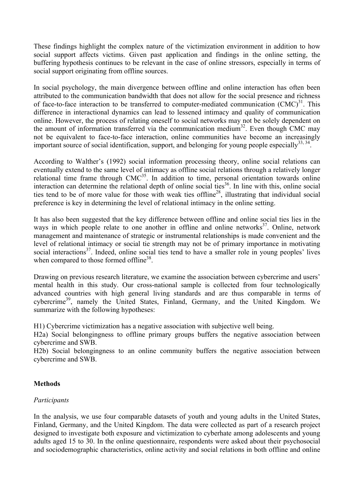These findings highlight the complex nature of the victimization environment in addition to how social support affects victims. Given past application and findings in the online setting, the buffering hypothesis continues to be relevant in the case of online stressors, especially in terms of social support originating from offline sources.

In social psychology, the main divergence between offline and online interaction has often been attributed to the communication bandwidth that does not allow for the social presence and richness of face-to-face interaction to be transferred to computer-mediated communication  $(CMC)^{31}$ . This difference in interactional dynamics can lead to lessened intimacy and quality of communication online. However, the process of relating oneself to social networks may not be solely dependent on the amount of information transferred via the communication medium<sup>32</sup>. Even though CMC may not be equivalent to face-to-face interaction, online communities have become an increasingly important source of social identification, support, and belonging for young people especially  $33, 34$ .

According to Walther's (1992) social information processing theory, online social relations can eventually extend to the same level of intimacy as offline social relations through a relatively longer relational time frame through CMC<sup>35</sup>. In addition to time, personal orientation towards online interaction can determine the relational depth of online social ties 36. In line with this, online social ties tend to be of more value for those with weak ties offline<sup>28</sup>, illustrating that individual social preference is key in determining the level of relational intimacy in the online setting.

It has also been suggested that the key difference between offline and online social ties lies in the ways in which people relate to one another in offline and online networks<sup>37</sup>. Online, network management and maintenance of strategic or instrumental relationships is made convenient and the level of relational intimacy or social tie strength may not be of primary importance in motivating social interactions<sup>37</sup>. Indeed, online social ties tend to have a smaller role in young peoples' lives when compared to those formed offline<sup>38</sup>.

Drawing on previous research literature, we examine the association between cybercrime and users' mental health in this study. Our cross-national sample is collected from four technologically advanced countries with high general living standards and are thus comparable in terms of cybercrime<sup>39</sup>, namely the United States, Finland, Germany, and the United Kingdom. We summarize with the following hypotheses:

H1) Cybercrime victimization has a negative association with subjective well being.

H2a) Social belongingness to offline primary groups buffers the negative association between cybercrime and SWB.

H2b) Social belongingness to an online community buffers the negative association between cybercrime and SWB.

# **Methods**

# *Participants*

In the analysis, we use four comparable datasets of youth and young adults in the United States, Finland, Germany, and the United Kingdom. The data were collected as part of a research project designed to investigate both exposure and victimization to cyberhate among adolescents and young adults aged 15 to 30. In the online questionnaire, respondents were asked about their psychosocial and sociodemographic characteristics, online activity and social relations in both offline and online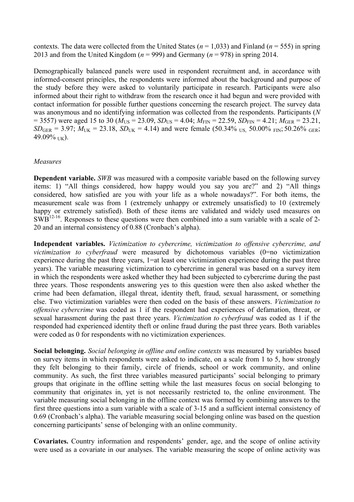contexts. The data were collected from the United States ( $n = 1,033$ ) and Finland ( $n = 555$ ) in spring 2013 and from the United Kingdom ( $n = 999$ ) and Germany ( $n = 978$ ) in spring 2014.

Demographically balanced panels were used in respondent recruitment and, in accordance with informed-consent principles, the respondents were informed about the background and purpose of the study before they were asked to voluntarily participate in research. Participants were also informed about their right to withdraw from the research once it had begun and were provided with contact information for possible further questions concerning the research project. The survey data was anonymous and no identifying information was collected from the respondents. Participants (*N*  $= 3557$ ) were aged 15 to 30 ( $M_{US} = 23.09$ ,  $SD_{US} = 4.04$ ;  $M_{FIN} = 22.59$ ,  $SD_{FIN} = 4.21$ ;  $M_{GER} = 23.21$ ,  $SD<sub>GER</sub> = 3.97$ ;  $M<sub>UK</sub> = 23.18$ ,  $SD<sub>UK</sub> = 4.14$ ) and were female (50.34% US, 50.00% FIN; 50.26% GER; 49.09% UK).

## *Measures*

**Dependent variable.** *SWB* was measured with a composite variable based on the following survey items: 1) "All things considered, how happy would you say you are?" and 2) "All things considered, how satisfied are you with your life as a whole nowadays?". For both items, the measurement scale was from 1 (extremely unhappy or extremely unsatisfied) to 10 (extremely happy or extremely satisfied). Both of these items are validated and widely used measures on  $\text{SWB}^{12-16}$ . Responses to these questions were then combined into a sum variable with a scale of 2-20 and an internal consistency of 0.88 (Cronbach's alpha).

**Independent variables.** *Victimization to cybercrime, victimization to offensive cybercrime, and victimization to cyberfraud* were measured by dichotomous variables (0=no victimization experience during the past three years, 1=at least one victimization experience during the past three years). The variable measuring victimization to cybercrime in general was based on a survey item in which the respondents were asked whether they had been subjected to cybercrime during the past three years. Those respondents answering yes to this question were then also asked whether the crime had been defamation, illegal threat, identity theft, fraud, sexual harassment, or something else. Two victimization variables were then coded on the basis of these answers. *Victimization to offensive cybercrime* was coded as 1 if the respondent had experiences of defamation, threat, or sexual harassment during the past three years. *Victimization to cyberfraud* was coded as 1 if the responded had experienced identity theft or online fraud during the past three years. Both variables were coded as 0 for respondents with no victimization experiences.

**Social belonging.** *Social belonging in offline and online contexts* was measured by variables based on survey items in which respondents were asked to indicate, on a scale from 1 to 5, how strongly they felt belonging to their family, circle of friends, school or work community, and online community. As such, the first three variables measured participants' social belonging to primary groups that originate in the offline setting while the last measures focus on social belonging to community that originates in, yet is not necessarily restricted to, the online environment. The variable measuring social belonging in the offline context was formed by combining answers to the first three questions into a sum variable with a scale of 3-15 and a sufficient internal consistency of 0.69 (Cronbach's alpha). The variable measuring social belonging online was based on the question concerning participants' sense of belonging with an online community.

**Covariates.** Country information and respondents' gender, age, and the scope of online activity were used as a covariate in our analyses. The variable measuring the scope of online activity was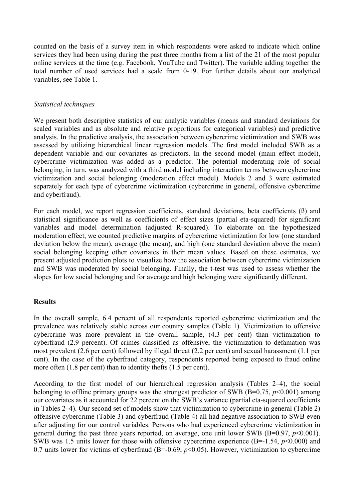counted on the basis of a survey item in which respondents were asked to indicate which online services they had been using during the past three months from a list of the 21 of the most popular online services at the time (e.g. Facebook, YouTube and Twitter). The variable adding together the total number of used services had a scale from 0-19. For further details about our analytical variables, see Table 1.

## *Statistical techniques*

We present both descriptive statistics of our analytic variables (means and standard deviations for scaled variables and as absolute and relative proportions for categorical variables) and predictive analysis. In the predictive analysis, the association between cybercrime victimization and SWB was assessed by utilizing hierarchical linear regression models. The first model included SWB as a dependent variable and our covariates as predictors. In the second model (main effect model), cybercrime victimization was added as a predictor. The potential moderating role of social belonging, in turn, was analyzed with a third model including interaction terms between cybercrime victimization and social belonging (moderation effect model). Models 2 and 3 were estimated separately for each type of cybercrime victimization (cybercrime in general, offensive cybercrime and cyberfraud).

For each model, we report regression coefficients, standard deviations, beta coefficients (ß) and statistical significance as well as coefficients of effect sizes (partial eta-squared) for significant variables and model determination (adjusted R-squared). To elaborate on the hypothesized moderation effect, we counted predictive margins of cybercrime victimization for low (one standard deviation below the mean), average (the mean), and high (one standard deviation above the mean) social belonging keeping other covariates in their mean values. Based on these estimates, we present adjusted prediction plots to visualize how the association between cybercrime victimization and SWB was moderated by social belonging. Finally, the t-test was used to assess whether the slopes for low social belonging and for average and high belonging were significantly different.

#### **Results**

In the overall sample, 6.4 percent of all respondents reported cybercrime victimization and the prevalence was relatively stable across our country samples (Table 1). Victimization to offensive cybercrime was more prevalent in the overall sample, (4.3 per cent) than victimization to cyberfraud (2.9 percent). Of crimes classified as offensive, the victimization to defamation was most prevalent (2.6 per cent) followed by illegal threat (2.2 per cent) and sexual harassment (1.1 per cent). In the case of the cyberfraud category, respondents reported being exposed to fraud online more often (1.8 per cent) than to identity thefts (1.5 per cent).

According to the first model of our hierarchical regression analysis (Tables 2–4), the social belonging to offline primary groups was the strongest predictor of SWB (B=0.75, *p*<0.001) among our covariates as it accounted for 22 percent on the SWB's variance (partial eta-squared coefficients in Tables 2–4). Our second set of models show that victimization to cybercrime in general (Table 2) offensive cybercrime (Table 3) and cyberfraud (Table 4) all had negative association to SWB even after adjusting for our control variables. Persons who had experienced cybercrime victimization in general during the past three years reported, on average, one unit lower SWB ( $B=0.97$ ,  $p<0.001$ ). SWB was 1.5 units lower for those with offensive cybercrime experience (B=-1.54, *p*<0.000) and 0.7 units lower for victims of cyberfraud (B=-0.69, *p*<0.05). However, victimization to cybercrime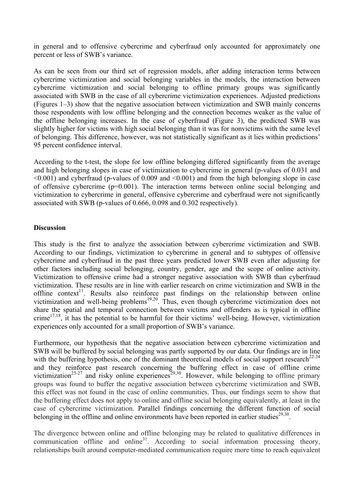in general and to offensive cybercrime and cyberfraud only accounted for approximately one percent or less of SWB's variance.

As can be seen from our third set of regression models, after adding interaction terms between cybercrime victimization and social belonging variables in the models, the interaction between cybercrime victimization and social belonging to offline primary groups was significantly associated with SWB in the case of all cybercrime victimization experiences. Adjusted predictions (Figures 1–3) show that the negative association between victimization and SWB mainly concerns those respondents with low offline belonging and the connection becomes weaker as the value of the offline belonging increases. In the case of cyberfraud (Figure 3), the predicted SWB was slightly higher for victims with high social belonging than it was for nonvictims with the same level of belonging. This difference, however, was not statistically significant as it lies within predictions' 95 percent confidence interval.

According to the t-test, the slope for low offline belonging differed significantly from the average and high belonging slopes in case of victimization to cybercrime in general (p-values of 0.031 and  $\leq 0.001$ ) and cyberfraud (p-values of 0.009 and  $\leq 0.001$ ) and from the high belonging slope in case of offensive cybercrime (p=0.001). The interaction terms between online social belonging and victimization to cybercrime in general, offensive cybercrime and cyberfraud were not significantly associated with SWB (p-values of 0.666, 0.098 and 0.302 respectively).

## **Discussion**

This study is the first to analyze the association between cybercrime victimization and SWB. According to our findings, victimization to cybercrime in general and to subtypes of offensive cybercrime and cyberfraud in the past three years predicted lower SWB even after adjusting for other factors including social belonging, country, gender, age and the scope of online activity. Victimization to offensive crime had a stronger negative association with SWB than cyberfraud victimization. These results are in line with earlier research on crime victimization and SWB in the offline context<sup>11</sup>. Results also reinforce past findings on the relationship between online victimization and well-being problems<sup>19,20</sup>. Thus, even though cybercrime victimization does not share the spatial and temporal connection between victims and offenders as is typical in offline  $\text{crimel}^{17,18}$ , it has the potential to be harmful for their victims' well-being. However, victimization experiences only accounted for a small proportion of SWB's variance.

Furthermore, our hypothesis that the negative association between cybercrime victimization and SWB will be buffered by social belonging was partly supported by our data. Our findings are in line with the buffering hypothesis, one of the dominant theoretical models of social support research<sup>22-24</sup> and they reinforce past research concerning the buffering effect in case of offline crime victimization<sup>25-27</sup> and risky online experiences<sup>29,30</sup>. However, while belonging to offline primary groups was found to buffer the negative association between cybercrime victimization and SWB, this effect was not found in the case of online communities. Thus, our findings seem to show that the buffering effect does not apply to online and offline social belonging equivalently, at least in the case of cybercrime victimization. Parallel findings concerning the different function of social belonging in the offline and online environments have been reported in earlier studies<sup>29,30</sup>.

The divergence between online and offline belonging may be related to qualitative differences in communication offline and online<sup>31</sup>. According to social information processing theory, relationships built around computer-mediated communication require more time to reach equivalent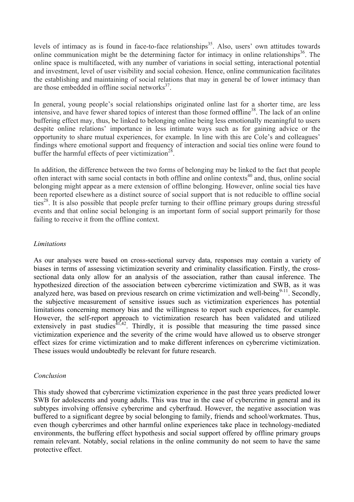levels of intimacy as is found in face-to-face relationships<sup>35</sup>. Also, users' own attitudes towards online communication might be the determining factor for intimacy in online relationships<sup>36</sup>. The online space is multifaceted, with any number of variations in social setting, interactional potential and investment, level of user visibility and social cohesion. Hence, online communication facilitates the establishing and maintaining of social relations that may in general be of lower intimacy than are those embedded in offline social networks $37$ .

In general, young people's social relationships originated online last for a shorter time, are less intensive, and have fewer shared topics of interest than those formed offline<sup>38</sup>. The lack of an online buffering effect may, thus, be linked to belonging online being less emotionally meaningful to users despite online relations' importance in less intimate ways such as for gaining advice or the opportunity to share mutual experiences, for example. In line with this are Cole's and colleagues' findings where emotional support and frequency of interaction and social ties online were found to buffer the harmful effects of peer victimization<sup>28</sup>.

In addition, the difference between the two forms of belonging may be linked to the fact that people often interact with same social contacts in both offline and online contexts<sup>40</sup> and, thus, online social belonging might appear as a mere extension of offline belonging. However, online social ties have been reported elsewhere as a distinct source of social support that is not reducible to offline social ties<sup>28</sup>. It is also possible that people prefer turning to their offline primary groups during stressful events and that online social belonging is an important form of social support primarily for those failing to receive it from the offline context.

## *Limitations*

As our analyses were based on cross-sectional survey data, responses may contain a variety of biases in terms of assessing victimization severity and criminality classification. Firstly, the crosssectional data only allow for an analysis of the association, rather than causal inference. The hypothesized direction of the association between cybercrime victimization and SWB, as it was analyzed here, was based on previous research on crime victimization and well-being $9-11$ . Secondly, the subjective measurement of sensitive issues such as victimization experiences has potential limitations concerning memory bias and the willingness to report such experiences, for example. However, the self-report approach to victimization research has been validated and utilized extensively in past studies<sup> $41,42$ </sup>. Thirdly, it is possible that measuring the time passed since victimization experience and the severity of the crime would have allowed us to observe stronger effect sizes for crime victimization and to make different inferences on cybercrime victimization. These issues would undoubtedly be relevant for future research.

# *Conclusion*

This study showed that cybercrime victimization experience in the past three years predicted lower SWB for adolescents and young adults. This was true in the case of cybercrime in general and its subtypes involving offensive cybercrime and cyberfraud. However, the negative association was buffered to a significant degree by social belonging to family, friends and school/workmates. Thus, even though cybercrimes and other harmful online experiences take place in technology-mediated environments, the buffering effect hypothesis and social support offered by offline primary groups remain relevant. Notably, social relations in the online community do not seem to have the same protective effect.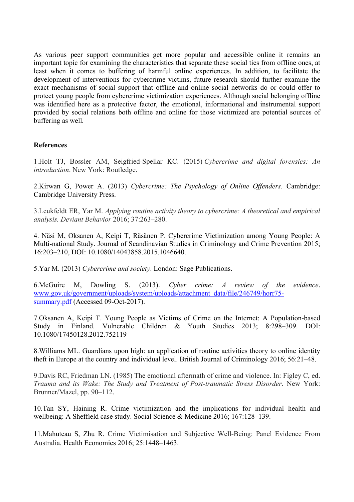As various peer support communities get more popular and accessible online it remains an important topic for examining the characteristics that separate these social ties from offline ones, at least when it comes to buffering of harmful online experiences. In addition, to facilitate the development of interventions for cybercrime victims, future research should further examine the exact mechanisms of social support that offline and online social networks do or could offer to protect young people from cybercrime victimization experiences. Although social belonging offline was identified here as a protective factor, the emotional, informational and instrumental support provided by social relations both offline and online for those victimized are potential sources of buffering as well.

# **References**

1.Holt TJ, Bossler AM, Seigfried-Spellar KC. (2015) *Cybercrime and digital forensics: An introduction*. New York: Routledge.

2.Kirwan G, Power A. (2013) *Cybercrime: The Psychology of Online Offenders*. Cambridge: Cambridge University Press.

3.Leukfeldt ER, Yar M. *Applying routine activity theory to cybercrime: A theoretical and empirical analysis. Deviant Behavior* 2016; 37:263–280.

4. Näsi M, Oksanen A, Keipi T, Räsänen P. Cybercrime Victimization among Young People: A Multi-national Study. Journal of Scandinavian Studies in Criminology and Crime Prevention 2015; 16:203–210, DOI: 10.1080/14043858.2015.1046640.

5.Yar M. (2013) *Cybercrime and society*. London: Sage Publications.

6.McGuire M, Dowling S. (2013). *Cyber crime: A review of the evidence*. www.gov.uk/government/uploads/system/uploads/attachment\_data/file/246749/horr75 summary.pdf (Accessed 09-Oct-2017).

7.Oksanen A, Keipi T. Young People as Victims of Crime on the Internet: A Population-based Study in Finland. Vulnerable Children & Youth Studies 2013; 8:298–309. DOI: 10.1080/17450128.2012.752119

8.Williams ML. Guardians upon high: an application of routine activities theory to online identity theft in Europe at the country and individual level. British Journal of Criminology 2016; 56:21–48.

9.Davis RC, Friedman LN. (1985) The emotional aftermath of crime and violence. In: Figley C, ed. *Trauma and its Wake: The Study and Treatment of Post-traumatic Stress Disorder*. New York: Brunner/Mazel, pp. 90–112.

10.Tan SY, Haining R. Crime victimization and the implications for individual health and wellbeing: A Sheffield case study. Social Science & Medicine 2016; 167:128–139.

11.Mahuteau S, Zhu R. Crime Victimisation and Subjective Well-Being: Panel Evidence From Australia. Health Economics 2016; 25:1448–1463.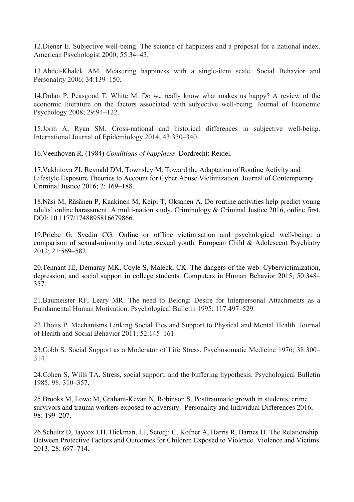12.Diener E. Subjective well-being: The science of happiness and a proposal for a national index. American Psychologist 2000; 55:34–43.

13.Abdel-Khalek AM. Measuring happiness with a single-item scale. Social Behavior and Personality 2006; 34:139–150.

14.Dolan P, Peasgood T, White M. Do we really know what makes us happy? A review of the economic literature on the factors associated with subjective well-being. Journal of Economic Psychology 2008; 29:94–122.

15.Jorm A, Ryan SM. Cross-national and historical differences in subjective well-being. International Journal of Epidemiology 2014; 43:330–340.

16.Veenhoven R. (1984) *Conditions of happiness*. Dordrecht: Reidel.

17.Vakhitova ZI, Reynald DM, Townsley M. Toward the Adaptation of Routine Activity and Lifestyle Exposure Theories to Account for Cyber Abuse Victimization. Journal of Contemporary Criminal Justice 2016; 2: 169–188.

18.Näsi M, Räsänen P, Kaakinen M, Keipi T, Oksanen A. Do routine activities help predict young adults' online harassment: A multi-nation study. Criminology & Criminal Justice 2016, online first. DOI: 10.1177/1748895816679866.

19.Priebe G, Svedin CG. Online or offline victimisation and psychological well-being: a comparison of sexual-minority and heterosexual youth. European Child & Adolescent Psychiatry 2012; 21:569–582.

20.Tennant JE, Demaray MK, Coyle S, Malecki CK. The dangers of the web: Cybervictimization, depression, and social support in college students. Computers in Human Behavior 2015; 50:348– 357.

21.Baumeister RF, Leary MR. The need to Belong: Desire for Interpersonal Attachments as a Fundamental Human Motivation. Psychological Bulletin 1995; 117:497–529.

22.Thoits P. Mechanisms Linking Social Ties and Support to Physical and Mental Health. Journal of Health and Social Behavior 2011; 52:145–161.

23.Cobb S. Social Support as a Moderator of Life Stress. Psychosomatic Medicine 1976; 38:300– 314.

24.Cohen S, Wills TA. Stress, social support, and the buffering hypothesis. Psychological Bulletin 1985; 98: 310–357.

25.Brooks M, Lowe M, Graham-Kevan N, Robinson S. Posttraumatic growth in students, crime survivors and trauma workers exposed to adversity. Personality and Individual Differences 2016; 98: 199–207.

26.Schultz D, Jaycox LH, Hickman, LJ, Setodji C, Kofner A, Harris R, Barnes D. The Relationship Between Protective Factors and Outcomes for Children Exposed to Violence. Violence and Victims 2013; 28: 697–714.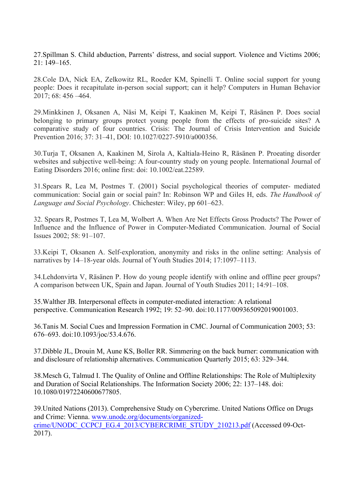27.Spillman S. Child abduction, Parrents' distress, and social support. Violence and Victims 2006; 21: 149–165.

28.Cole DA, Nick EA, Zelkowitz RL, Roeder KM, Spinelli T. Online social support for young people: Does it recapitulate in-person social support; can it help? Computers in Human Behavior 2017; 68: 456 –464.

29.Minkkinen J, Oksanen A, Näsi M, Keipi T, Kaakinen M, Keipi T, Räsänen P. Does social belonging to primary groups protect young people from the effects of pro-suicide sites? A comparative study of four countries. Crisis: The Journal of Crisis Intervention and Suicide Prevention 2016; 37: 31–41, DOI: 10.1027/0227-5910/a000356.

30.Turja T, Oksanen A, Kaakinen M, Sirola A, Kaltiala-Heino R, Räsänen P. Proeating disorder websites and subjective well-being: A four-country study on young people. International Journal of Eating Disorders 2016; online first: doi: 10.1002/eat.22589.

31.Spears R, Lea M, Postmes T. (2001) Social psychological theories of computer- mediated communication: Social gain or social pain? In: Robinson WP and Giles H, eds. *The Handbook of Language and Social Psychology*. Chichester: Wiley, pp 601–623.

32. Spears R, Postmes T, Lea M, Wolbert A. When Are Net Effects Gross Products? The Power of Influence and the Influence of Power in Computer-Mediated Communication. Journal of Social Issues 2002; 58: 91–107.

33.Keipi T, Oksanen A. Self-exploration, anonymity and risks in the online setting: Analysis of narratives by 14–18-year olds. Journal of Youth Studies 2014; 17:1097–1113.

34.Lehdonvirta V, Räsänen P. How do young people identify with online and offline peer groups? A comparison between UK, Spain and Japan. Journal of Youth Studies 2011; 14:91–108.

35.Walther JB. Interpersonal effects in computer-mediated interaction: A relational perspective. Communication Research 1992; 19: 52–90. doi:10.1177/009365092019001003.

36.Tanis M. Social Cues and Impression Formation in CMC. Journal of Communication 2003; 53: 676–693. doi:10.1093/joc/53.4.676.

37.Dibble JL, Drouin M, Aune KS, Boller RR. Simmering on the back burner: communication with and disclosure of relationship alternatives. Communication Quarterly 2015; 63: 329–344.

38.Mesch G, Talmud I. The Quality of Online and Offline Relationships: The Role of Multiplexity and Duration of Social Relationships. The Information Society 2006; 22: 137–148. doi: 10.1080/01972240600677805.

39.United Nations (2013). Comprehensive Study on Cybercrime. United Nations Office on Drugs and Crime: Vienna. www.unodc.org/documents/organizedcrime/UNODC\_CCPCJ\_EG.4\_2013/CYBERCRIME\_STUDY\_210213.pdf (Accessed 09-Oct-2017).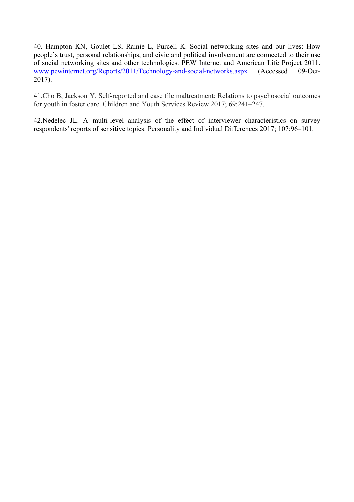40. Hampton KN, Goulet LS, Rainie L, Purcell K. Social networking sites and our lives: How people's trust, personal relationships, and civic and political involvement are connected to their use of social networking sites and other technologies. PEW Internet and American Life Project 2011. www.pewinternet.org/Reports/2011/Technology-and-social-networks.aspx (Accessed 09-Oct-2017).

41.Cho B, Jackson Y. Self-reported and case file maltreatment: Relations to psychosocial outcomes for youth in foster care. Children and Youth Services Review 2017; 69:241–247.

42.Nedelec JL. A multi-level analysis of the effect of interviewer characteristics on survey respondents' reports of sensitive topics. Personality and Individual Differences 2017; 107:96–101.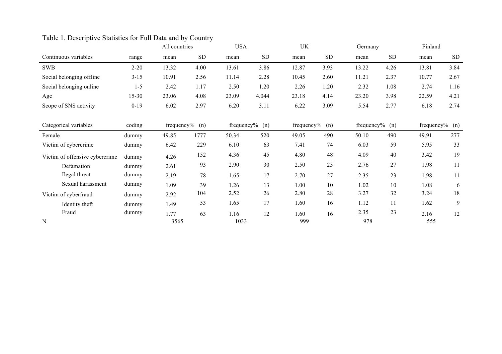|                                |           | All countries |                  | <b>USA</b> |                  | UK               |           | Germany          |           | Finland          |            |
|--------------------------------|-----------|---------------|------------------|------------|------------------|------------------|-----------|------------------|-----------|------------------|------------|
| Continuous variables           | range     | mean          | <b>SD</b>        | mean       | ${\rm SD}$       | mean             | <b>SD</b> | mean             | <b>SD</b> | mean             | ${\rm SD}$ |
| <b>SWB</b>                     | $2 - 20$  | 13.32         | 4.00             | 13.61      | 3.86             | 12.87            | 3.93      | 13.22            | 4.26      | 13.81            | 3.84       |
| Social belonging offline       | $3 - 15$  | 10.91         | 2.56             | 11.14      | 2.28             | 10.45            | 2.60      | 11.21            | 2.37      | 10.77            | 2.67       |
| Social belonging online        | $1 - 5$   | 2.42          | 1.17             | 2.50       | 1.20             | 2.26             | 1.20      | 2.32             | 1.08      | 2.74             | 1.16       |
| Age                            | $15 - 30$ | 23.06         | 4.08             | 23.09      | 4.044            | 23.18            | 4.14      | 23.20            | 3.98      | 22.59            | 4.21       |
| Scope of SNS activity          | $0 - 19$  | 6.02          | 2.97             | 6.20       | 3.11             | 6.22             | 3.09      | 5.54             | 2.77      | 6.18             | 2.74       |
|                                |           |               |                  |            |                  |                  |           |                  |           |                  |            |
| Categorical variables          | coding    |               | frequency% $(n)$ |            | frequency% $(n)$ | frequency% $(n)$ |           | frequency% $(n)$ |           | frequency% $(n)$ |            |
| Female                         | dummy     | 49.85         | 1777             | 50.34      | 520              | 49.05            | 490       | 50.10            | 490       | 49.91            | 277        |
| Victim of cybercrime           | dummy     | 6.42          | 229              | 6.10       | 63               | 7.41             | 74        | 6.03             | 59        | 5.95             | 33         |
| Victim of offensive cybercrime | dummy     | 4.26          | 152              | 4.36       | 45               | 4.80             | 48        | 4.09             | 40        | 3.42             | 19         |
| Defamation                     | dummy     | 2.61          | 93               | 2.90       | 30               | 2.50             | 25        | 2.76             | 27        | 1.98             | 11         |
| Ilegal threat                  | dummy     | 2.19          | 78               | 1.65       | 17               | 2.70             | 27        | 2.35             | 23        | 1.98             | 11         |
| Sexual harassment              | dummy     | 1.09          | 39               | 1.26       | 13               | 1.00             | 10        | 1.02             | 10        | 1.08             | 6          |
| Victim of cyberfraud           | dummy     | 2.92          | 104              | 2.52       | 26               | 2.80             | 28        | 3.27             | 32        | 3.24             | 18         |
| Identity theft                 | dummy     | 1.49          | 53               | 1.65       | 17               | 1.60             | 16        | 1.12             | 11        | 1.62             | 9          |
| Fraud                          | dummy     | 1.77          | 63               | 1.16       | 12               | 1.60             | 16        | 2.35             | 23        | 2.16             | 12         |
| N                              |           | 3565          |                  | 1033       |                  | 999              |           | 978              |           | 555              |            |

# Table 1. Descriptive Statistics for Full Data and by Country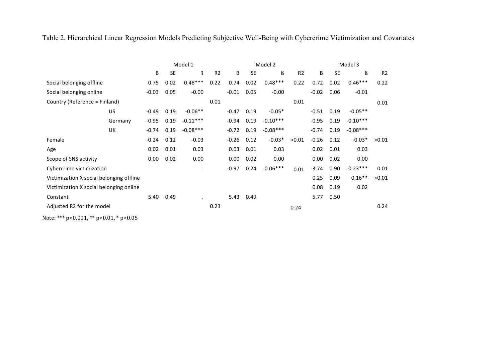Table 2. Hierarchical Linear Regression Models Predicting Subjective Well-Being with Cybercrime Victimization and Covariates

|                                                |         |         |           | Model 1    |      |         |           | Model 2    |                | Model 3 |           |            |                |
|------------------------------------------------|---------|---------|-----------|------------|------|---------|-----------|------------|----------------|---------|-----------|------------|----------------|
|                                                |         | B       | <b>SE</b> | ß          | R2   | B       | <b>SE</b> | ß          | R <sub>2</sub> | B       | <b>SE</b> | ß          | R <sub>2</sub> |
| Social belonging offline                       |         | 0.75    | 0.02      | $0.48***$  | 0.22 | 0.74    | 0.02      | $0.48***$  | 0.22           | 0.72    | 0.02      | $0.46***$  | 0.22           |
| Social belonging online                        |         | $-0.03$ | 0.05      | $-0.00$    |      | $-0.01$ | 0.05      | $-0.00$    |                | $-0.02$ | 0.06      | $-0.01$    |                |
| Country (Reference = Finland)                  |         |         |           |            | 0.01 |         |           |            | 0.01           |         |           |            | 0.01           |
|                                                | US      | $-0.49$ | 0.19      | $-0.06**$  |      | $-0.47$ | 0.19      | $-0.05*$   |                | $-0.51$ | 0.19      | $-0.05**$  |                |
|                                                | Germany | $-0.95$ | 0.19      | $-0.11***$ |      | $-0.94$ | 0.19      | $-0.10***$ |                | $-0.95$ | 0.19      | $-0.10***$ |                |
|                                                | UK      | $-0.74$ | 0.19      | $-0.08***$ |      | $-0.72$ | 0.19      | $-0.08***$ |                | $-0.74$ | 0.19      | $-0.08***$ |                |
| Female                                         |         | $-0.24$ | 0.12      | $-0.03$    |      | $-0.26$ | 0.12      | $-0.03*$   | >0.01          | $-0.26$ | 0.12      | $-0.03*$   | >0.01          |
| Age                                            |         | 0.02    | 0.01      | 0.03       |      | 0.03    | 0.01      | 0.03       |                | 0.02    | 0.01      | 0.03       |                |
| Scope of SNS activity                          |         | 0.00    | 0.02      | 0.00       |      | 0.00    | 0.02      | 0.00       |                | 0.00    | 0.02      | 0.00       |                |
| Cybercrime victimization                       |         |         |           | $\bullet$  |      | $-0.97$ | 0.24      | $-0.06***$ | 0.01           | $-3.74$ | 0.90      | $-0.23***$ | 0.01           |
| Victimization X social belonging offline       |         |         |           |            |      |         |           |            |                | 0.25    | 0.09      | $0.16**$   | >0.01          |
| Victimization X social belonging online        |         |         |           |            |      |         |           |            |                | 0.08    | 0.19      | 0.02       |                |
| Constant                                       |         | 5.40    | 0.49      |            |      | 5.43    | 0.49      |            |                | 5.77    | 0.50      |            |                |
| Adjusted R2 for the model                      |         |         |           |            | 0.23 |         |           |            | 0.24           |         |           |            | 0.24           |
| Note: *** $p<0.001$ , ** $p<0.01$ , * $p<0.05$ |         |         |           |            |      |         |           |            |                |         |           |            |                |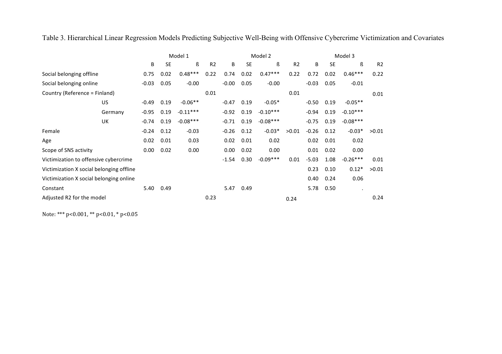Table 3. Hierarchical Linear Regression Models Predicting Subjective Well-Being with Offensive Cybercrime Victimization and Covariates

|                                          |         |         |           | Model 1    |                |         |           | Model 2    |                | Model 3 |           |            |                |  |
|------------------------------------------|---------|---------|-----------|------------|----------------|---------|-----------|------------|----------------|---------|-----------|------------|----------------|--|
|                                          |         | B       | <b>SE</b> | ß          | R <sub>2</sub> | B       | <b>SE</b> | ß          | R <sub>2</sub> | B       | <b>SE</b> | ß          | R <sub>2</sub> |  |
| Social belonging offline                 |         | 0.75    | 0.02      | $0.48***$  | 0.22           | 0.74    | 0.02      | $0.47***$  | 0.22           | 0.72    | 0.02      | $0.46***$  | 0.22           |  |
| Social belonging online                  |         | $-0.03$ | 0.05      | $-0.00$    |                | $-0.00$ | 0.05      | $-0.00$    |                | $-0.03$ | 0.05      | $-0.01$    |                |  |
| Country (Reference = Finland)            |         |         |           |            | 0.01           |         |           |            | 0.01           |         |           |            | 0.01           |  |
|                                          | US      | $-0.49$ | 0.19      | $-0.06**$  |                | $-0.47$ | 0.19      | $-0.05*$   |                | $-0.50$ | 0.19      | $-0.05**$  |                |  |
|                                          | Germany | $-0.95$ | 0.19      | $-0.11***$ |                | $-0.92$ | 0.19      | $-0.10***$ |                | $-0.94$ | 0.19      | $-0.10***$ |                |  |
|                                          | UK      | $-0.74$ | 0.19      | $-0.08***$ |                | $-0.71$ | 0.19      | $-0.08***$ |                | $-0.75$ | 0.19      | $-0.08***$ |                |  |
| Female                                   |         | $-0.24$ | 0.12      | $-0.03$    |                | $-0.26$ | 0.12      | $-0.03*$   | >0.01          | $-0.26$ | 0.12      | $-0.03*$   | >0.01          |  |
| Age                                      |         | 0.02    | 0.01      | 0.03       |                | 0.02    | 0.01      | 0.02       |                | 0.02    | 0.01      | 0.02       |                |  |
| Scope of SNS activity                    |         | 0.00    | 0.02      | 0.00       |                | 0.00    | 0.02      | 0.00       |                | 0.01    | 0.02      | 0.00       |                |  |
| Victimization to offensive cybercrime    |         |         |           |            |                | $-1.54$ | 0.30      | $-0.09***$ | 0.01           | $-5.03$ | 1.08      | $-0.26***$ | 0.01           |  |
| Victimization X social belonging offline |         |         |           |            |                |         |           |            |                | 0.23    | 0.10      | $0.12*$    | >0.01          |  |
| Victimization X social belonging online  |         |         |           |            |                |         |           |            |                | 0.40    | 0.24      | 0.06       |                |  |
| Constant                                 |         | 5.40    | 0.49      |            |                | 5.47    | 0.49      |            |                | 5.78    | 0.50      | $\bullet$  |                |  |
| Adjusted R2 for the model                |         |         |           |            | 0.23           |         |           |            | 0.24           |         |           |            | 0.24           |  |

Note: \*\*\* p<0.001, \*\* p<0.01, \* p<0.05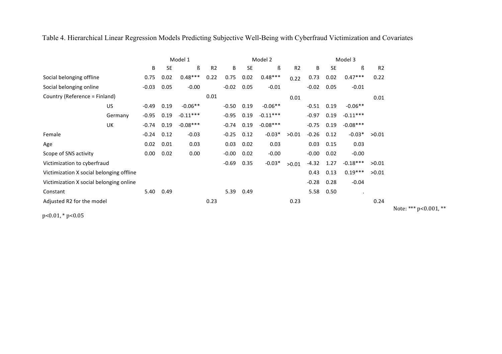Table 4. Hierarchical Linear Regression Models Predicting Subjective Well-Being with Cyberfraud Victimization and Covariates

|                                          |         | Model 1 |           |            |                |         |           | Model 2    |                | Model 3 |           |            |                |
|------------------------------------------|---------|---------|-----------|------------|----------------|---------|-----------|------------|----------------|---------|-----------|------------|----------------|
|                                          |         | B       | <b>SE</b> | ß          | R <sub>2</sub> | B       | <b>SE</b> | ß          | R <sub>2</sub> | B       | <b>SE</b> | ß          | R <sub>2</sub> |
| Social belonging offline                 |         | 0.75    | 0.02      | $0.48***$  | 0.22           | 0.75    | 0.02      | $0.48***$  | 0.22           | 0.73    | 0.02      | $0.47***$  | 0.22           |
| Social belonging online                  |         | $-0.03$ | 0.05      | $-0.00$    |                | $-0.02$ | 0.05      | $-0.01$    |                | $-0.02$ | 0.05      | $-0.01$    |                |
| Country (Reference = Finland)            |         |         |           |            | 0.01           |         |           |            | 0.01           |         |           |            | 0.01           |
|                                          | US      | $-0.49$ | 0.19      | $-0.06**$  |                | $-0.50$ | 0.19      | $-0.06**$  |                | $-0.51$ | 0.19      | $-0.06**$  |                |
|                                          | Germany | $-0.95$ | 0.19      | $-0.11***$ |                | $-0.95$ | 0.19      | $-0.11***$ |                | $-0.97$ | 0.19      | $-0.11***$ |                |
|                                          | UK      | $-0.74$ | 0.19      | $-0.08***$ |                | $-0.74$ | 0.19      | $-0.08***$ |                | $-0.75$ | 0.19      | $-0.08***$ |                |
| Female                                   |         | $-0.24$ | 0.12      | $-0.03$    |                | $-0.25$ | 0.12      | $-0.03*$   | >0.01          | $-0.26$ | 0.12      | $-0.03*$   | >0.01          |
| Age                                      |         | 0.02    | 0.01      | 0.03       |                | 0.03    | 0.02      | 0.03       |                | 0.03    | 0.15      | 0.03       |                |
| Scope of SNS activity                    |         | 0.00    | 0.02      | 0.00       |                | $-0.00$ | 0.02      | $-0.00$    |                | $-0.00$ | 0.02      | $-0.00$    |                |
| Victimization to cyberfraud              |         |         |           |            |                | $-0.69$ | 0.35      | $-0.03*$   | >0.01          | $-4.32$ | 1.27      | $-0.18***$ | >0.01          |
| Victimization X social belonging offline |         |         |           |            |                |         |           |            |                | 0.43    | 0.13      | $0.19***$  | >0.01          |
| Victimization X social belonging online  |         |         |           |            |                |         |           |            |                | $-0.28$ | 0.28      | $-0.04$    |                |
| Constant                                 |         | 5.40    | 0.49      |            |                | 5.39    | 0.49      |            |                | 5.58    | 0.50      | $\cdot$    |                |
| Adjusted R2 for the model                |         |         |           |            | 0.23           |         |           |            | 0.23           |         |           |            | 0.24           |

 $p<0.01$ , \*  $p<0.05$ 

Note: \*\*\* p<0.001, \*\*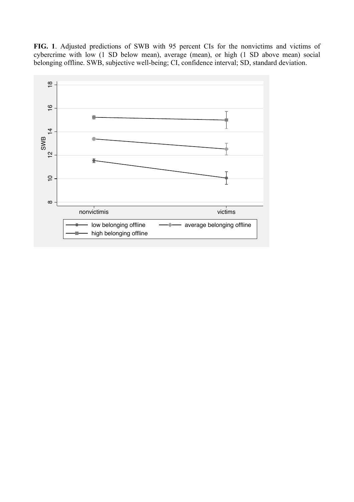**FIG. 1**. Adjusted predictions of SWB with 95 percent CIs for the nonvictims and victims of cybercrime with low (1 SD below mean), average (mean), or high (1 SD above mean) social belonging offline. SWB, subjective well-being; CI, confidence interval; SD, standard deviation.

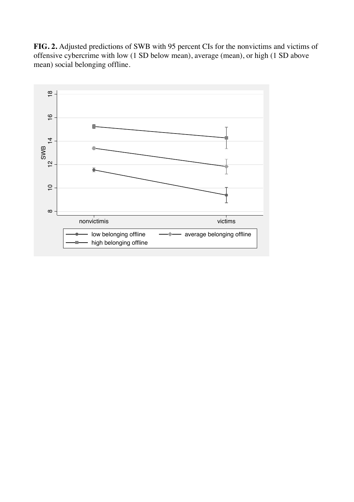**FIG. 2.** Adjusted predictions of SWB with 95 percent CIs for the nonvictims and victims of offensive cybercrime with low (1 SD below mean), average (mean), or high (1 SD above mean) social belonging offline.